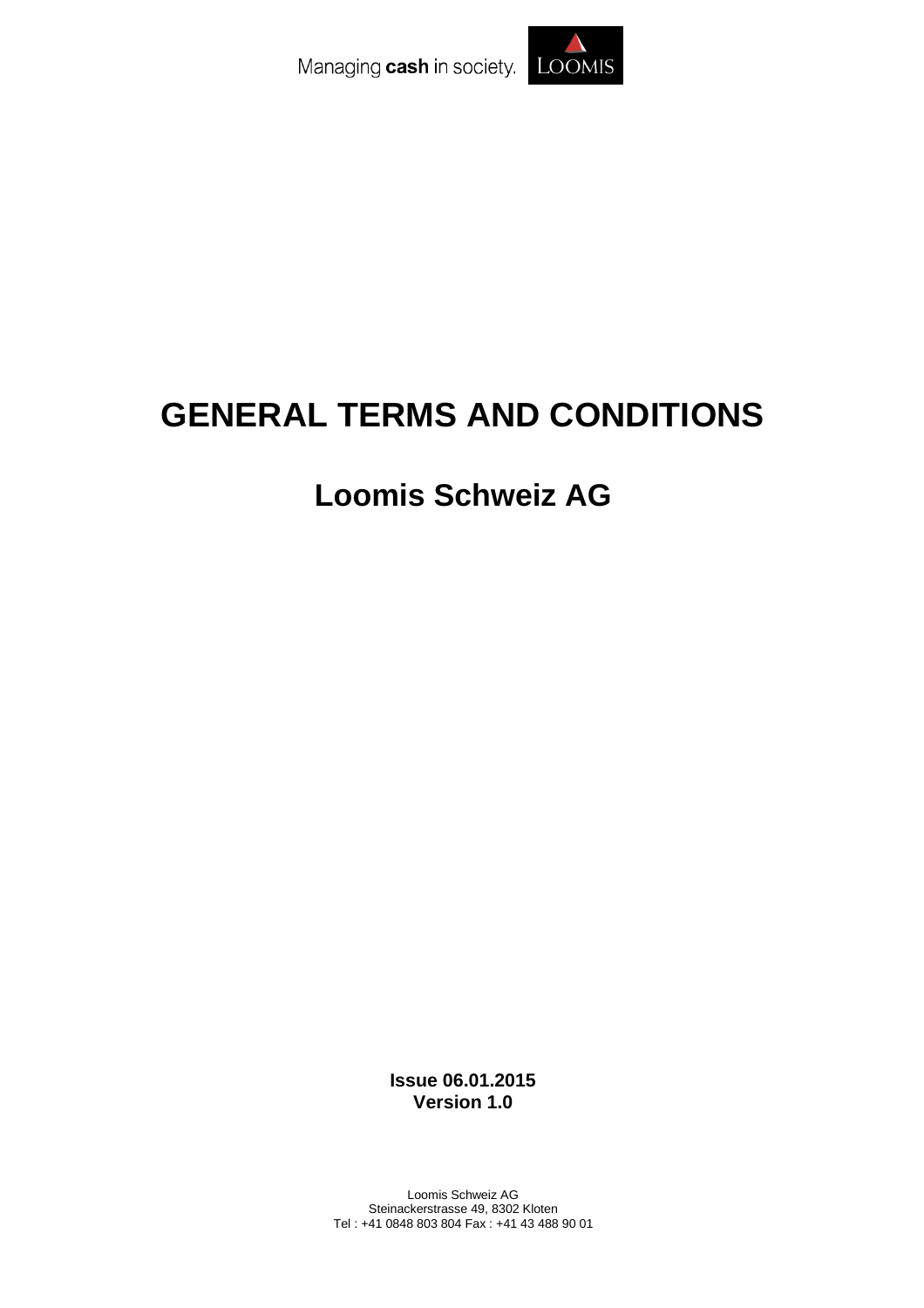Managing cash in society. LOOMIS



# **GENERAL TERMS AND CONDITIONS**

# **Loomis Schweiz AG**

**Issue 06.01.2015 Version 1.0**

Loomis Schweiz AG Steinackerstrasse 49, 8302 Kloten Tel : +41 0848 803 804 Fax : +41 43 488 90 01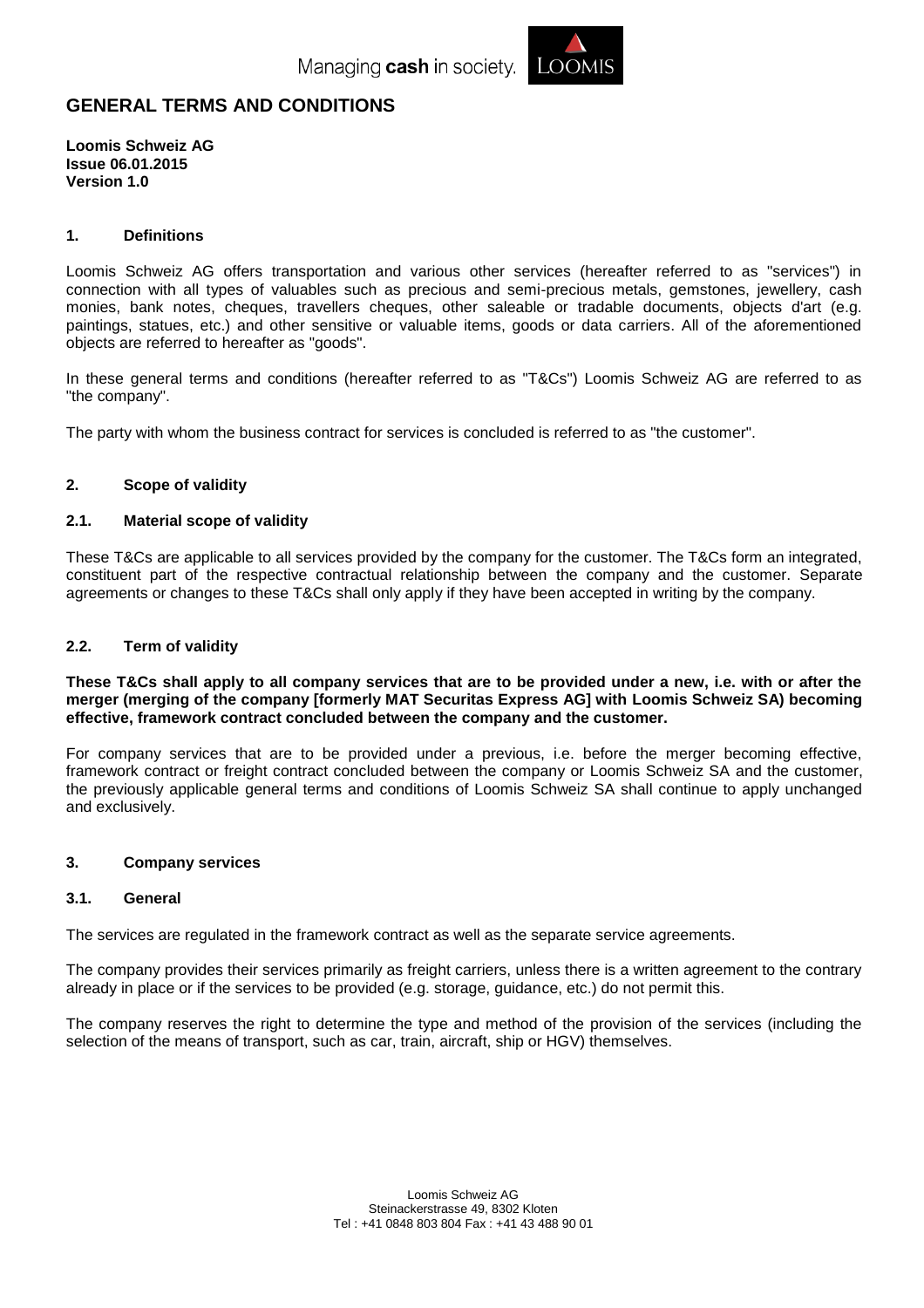

# **GENERAL TERMS AND CONDITIONS**

**Loomis Schweiz AG Issue 06.01.2015 Version 1.0**

#### **1. Definitions**

Loomis Schweiz AG offers transportation and various other services (hereafter referred to as "services") in connection with all types of valuables such as precious and semi-precious metals, gemstones, jewellery, cash monies, bank notes, cheques, travellers cheques, other saleable or tradable documents, objects d'art (e.g. paintings, statues, etc.) and other sensitive or valuable items, goods or data carriers. All of the aforementioned objects are referred to hereafter as "goods".

In these general terms and conditions (hereafter referred to as "T&Cs") Loomis Schweiz AG are referred to as "the company".

The party with whom the business contract for services is concluded is referred to as "the customer".

# **2. Scope of validity**

#### **2.1. Material scope of validity**

These T&Cs are applicable to all services provided by the company for the customer. The T&Cs form an integrated, constituent part of the respective contractual relationship between the company and the customer. Separate agreements or changes to these T&Cs shall only apply if they have been accepted in writing by the company.

#### **2.2. Term of validity**

**These T&Cs shall apply to all company services that are to be provided under a new, i.e. with or after the merger (merging of the company [formerly MAT Securitas Express AG] with Loomis Schweiz SA) becoming effective, framework contract concluded between the company and the customer.**

For company services that are to be provided under a previous, i.e. before the merger becoming effective, framework contract or freight contract concluded between the company or Loomis Schweiz SA and the customer, the previously applicable general terms and conditions of Loomis Schweiz SA shall continue to apply unchanged and exclusively.

#### **3. Company services**

#### **3.1. General**

The services are regulated in the framework contract as well as the separate service agreements.

The company provides their services primarily as freight carriers, unless there is a written agreement to the contrary already in place or if the services to be provided (e.g. storage, guidance, etc.) do not permit this.

The company reserves the right to determine the type and method of the provision of the services (including the selection of the means of transport, such as car, train, aircraft, ship or HGV) themselves.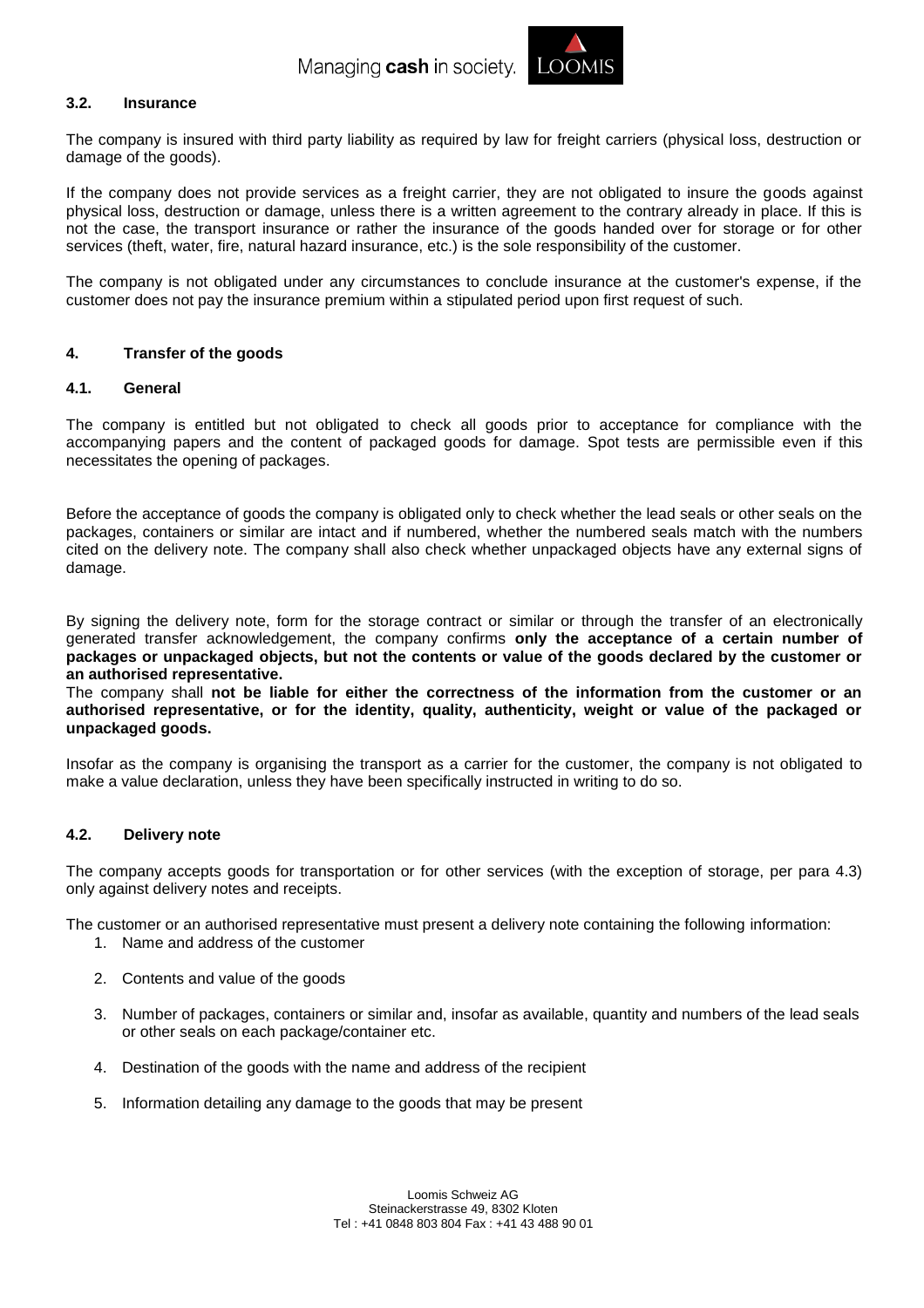

# **3.2. Insurance**

The company is insured with third party liability as required by law for freight carriers (physical loss, destruction or damage of the goods).

If the company does not provide services as a freight carrier, they are not obligated to insure the goods against physical loss, destruction or damage, unless there is a written agreement to the contrary already in place. If this is not the case, the transport insurance or rather the insurance of the goods handed over for storage or for other services (theft, water, fire, natural hazard insurance, etc.) is the sole responsibility of the customer.

The company is not obligated under any circumstances to conclude insurance at the customer's expense, if the customer does not pay the insurance premium within a stipulated period upon first request of such.

#### **4. Transfer of the goods**

#### **4.1. General**

The company is entitled but not obligated to check all goods prior to acceptance for compliance with the accompanying papers and the content of packaged goods for damage. Spot tests are permissible even if this necessitates the opening of packages.

Before the acceptance of goods the company is obligated only to check whether the lead seals or other seals on the packages, containers or similar are intact and if numbered, whether the numbered seals match with the numbers cited on the delivery note. The company shall also check whether unpackaged objects have any external signs of damage.

By signing the delivery note, form for the storage contract or similar or through the transfer of an electronically generated transfer acknowledgement, the company confirms **only the acceptance of a certain number of packages or unpackaged objects, but not the contents or value of the goods declared by the customer or an authorised representative.**

The company shall **not be liable for either the correctness of the information from the customer or an authorised representative, or for the identity, quality, authenticity, weight or value of the packaged or unpackaged goods.**

Insofar as the company is organising the transport as a carrier for the customer, the company is not obligated to make a value declaration, unless they have been specifically instructed in writing to do so.

#### **4.2. Delivery note**

The company accepts goods for transportation or for other services (with the exception of storage, per para 4.3) only against delivery notes and receipts.

The customer or an authorised representative must present a delivery note containing the following information:

- 1. Name and address of the customer
- 2. Contents and value of the goods
- 3. Number of packages, containers or similar and, insofar as available, quantity and numbers of the lead seals or other seals on each package/container etc.
- 4. Destination of the goods with the name and address of the recipient
- 5. Information detailing any damage to the goods that may be present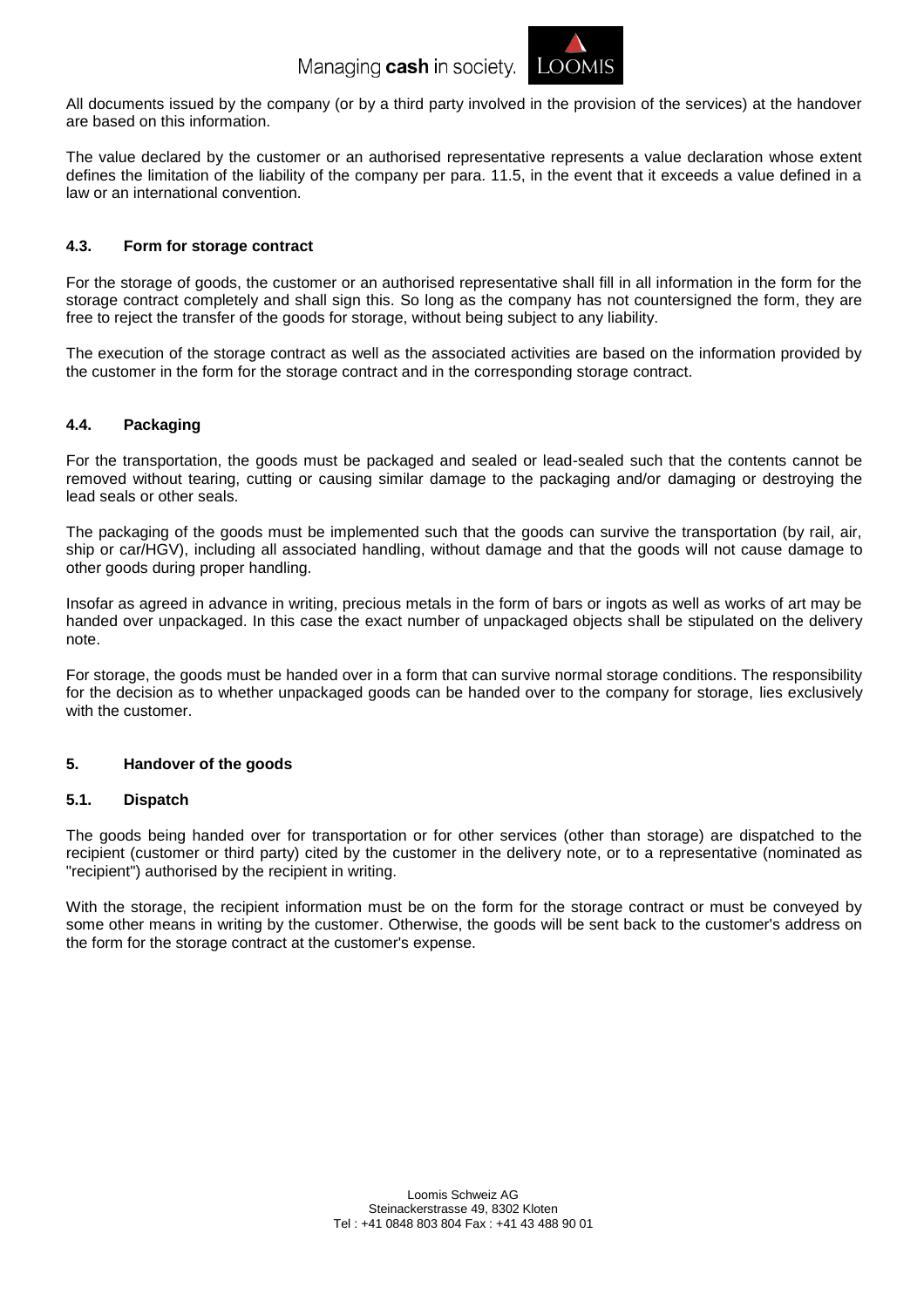

All documents issued by the company (or by a third party involved in the provision of the services) at the handover are based on this information.

The value declared by the customer or an authorised representative represents a value declaration whose extent defines the limitation of the liability of the company per para. 11.5, in the event that it exceeds a value defined in a law or an international convention.

# **4.3. Form for storage contract**

For the storage of goods, the customer or an authorised representative shall fill in all information in the form for the storage contract completely and shall sign this. So long as the company has not countersigned the form, they are free to reject the transfer of the goods for storage, without being subject to any liability.

The execution of the storage contract as well as the associated activities are based on the information provided by the customer in the form for the storage contract and in the corresponding storage contract.

# **4.4. Packaging**

For the transportation, the goods must be packaged and sealed or lead-sealed such that the contents cannot be removed without tearing, cutting or causing similar damage to the packaging and/or damaging or destroying the lead seals or other seals.

The packaging of the goods must be implemented such that the goods can survive the transportation (by rail, air, ship or car/HGV), including all associated handling, without damage and that the goods will not cause damage to other goods during proper handling.

Insofar as agreed in advance in writing, precious metals in the form of bars or ingots as well as works of art may be handed over unpackaged. In this case the exact number of unpackaged objects shall be stipulated on the delivery note.

For storage, the goods must be handed over in a form that can survive normal storage conditions. The responsibility for the decision as to whether unpackaged goods can be handed over to the company for storage, lies exclusively with the customer.

# **5. Handover of the goods**

# **5.1. Dispatch**

The goods being handed over for transportation or for other services (other than storage) are dispatched to the recipient (customer or third party) cited by the customer in the delivery note, or to a representative (nominated as "recipient") authorised by the recipient in writing.

With the storage, the recipient information must be on the form for the storage contract or must be conveyed by some other means in writing by the customer. Otherwise, the goods will be sent back to the customer's address on the form for the storage contract at the customer's expense.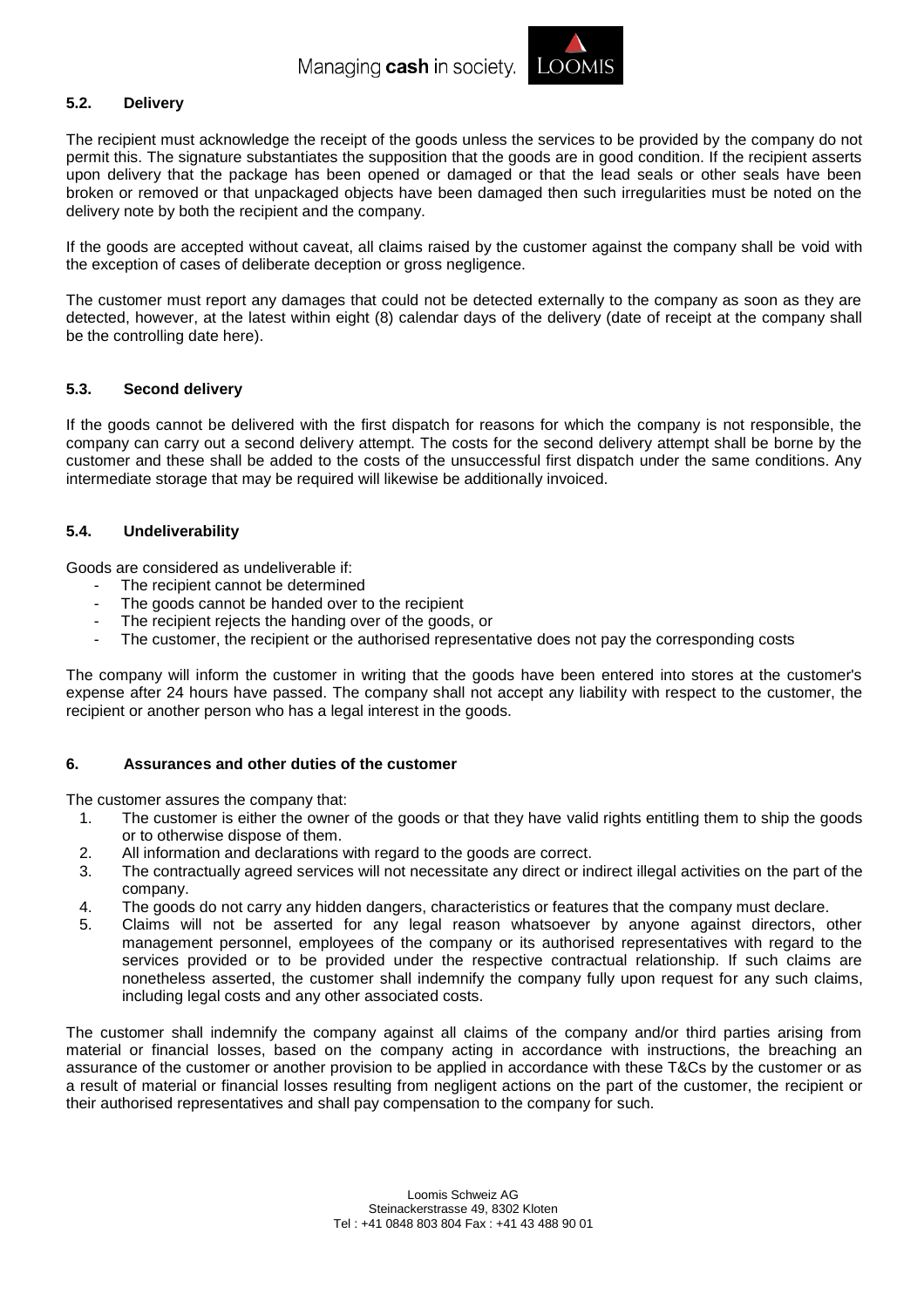

# **5.2. Delivery**

The recipient must acknowledge the receipt of the goods unless the services to be provided by the company do not permit this. The signature substantiates the supposition that the goods are in good condition. If the recipient asserts upon delivery that the package has been opened or damaged or that the lead seals or other seals have been broken or removed or that unpackaged objects have been damaged then such irregularities must be noted on the delivery note by both the recipient and the company.

If the goods are accepted without caveat, all claims raised by the customer against the company shall be void with the exception of cases of deliberate deception or gross negligence.

The customer must report any damages that could not be detected externally to the company as soon as they are detected, however, at the latest within eight (8) calendar days of the delivery (date of receipt at the company shall be the controlling date here).

# **5.3. Second delivery**

If the goods cannot be delivered with the first dispatch for reasons for which the company is not responsible, the company can carry out a second delivery attempt. The costs for the second delivery attempt shall be borne by the customer and these shall be added to the costs of the unsuccessful first dispatch under the same conditions. Any intermediate storage that may be required will likewise be additionally invoiced.

#### **5.4. Undeliverability**

Goods are considered as undeliverable if:

- The recipient cannot be determined
- The goods cannot be handed over to the recipient
- The recipient rejects the handing over of the goods, or
- The customer, the recipient or the authorised representative does not pay the corresponding costs

The company will inform the customer in writing that the goods have been entered into stores at the customer's expense after 24 hours have passed. The company shall not accept any liability with respect to the customer, the recipient or another person who has a legal interest in the goods.

#### **6. Assurances and other duties of the customer**

The customer assures the company that:

- 1. The customer is either the owner of the goods or that they have valid rights entitling them to ship the goods or to otherwise dispose of them.
- 2. All information and declarations with regard to the goods are correct.
- 3. The contractually agreed services will not necessitate any direct or indirect illegal activities on the part of the company.
- 4. The goods do not carry any hidden dangers, characteristics or features that the company must declare.
- 5. Claims will not be asserted for any legal reason whatsoever by anyone against directors, other management personnel, employees of the company or its authorised representatives with regard to the services provided or to be provided under the respective contractual relationship. If such claims are nonetheless asserted, the customer shall indemnify the company fully upon request for any such claims, including legal costs and any other associated costs.

The customer shall indemnify the company against all claims of the company and/or third parties arising from material or financial losses, based on the company acting in accordance with instructions, the breaching an assurance of the customer or another provision to be applied in accordance with these T&Cs by the customer or as a result of material or financial losses resulting from negligent actions on the part of the customer, the recipient or their authorised representatives and shall pay compensation to the company for such.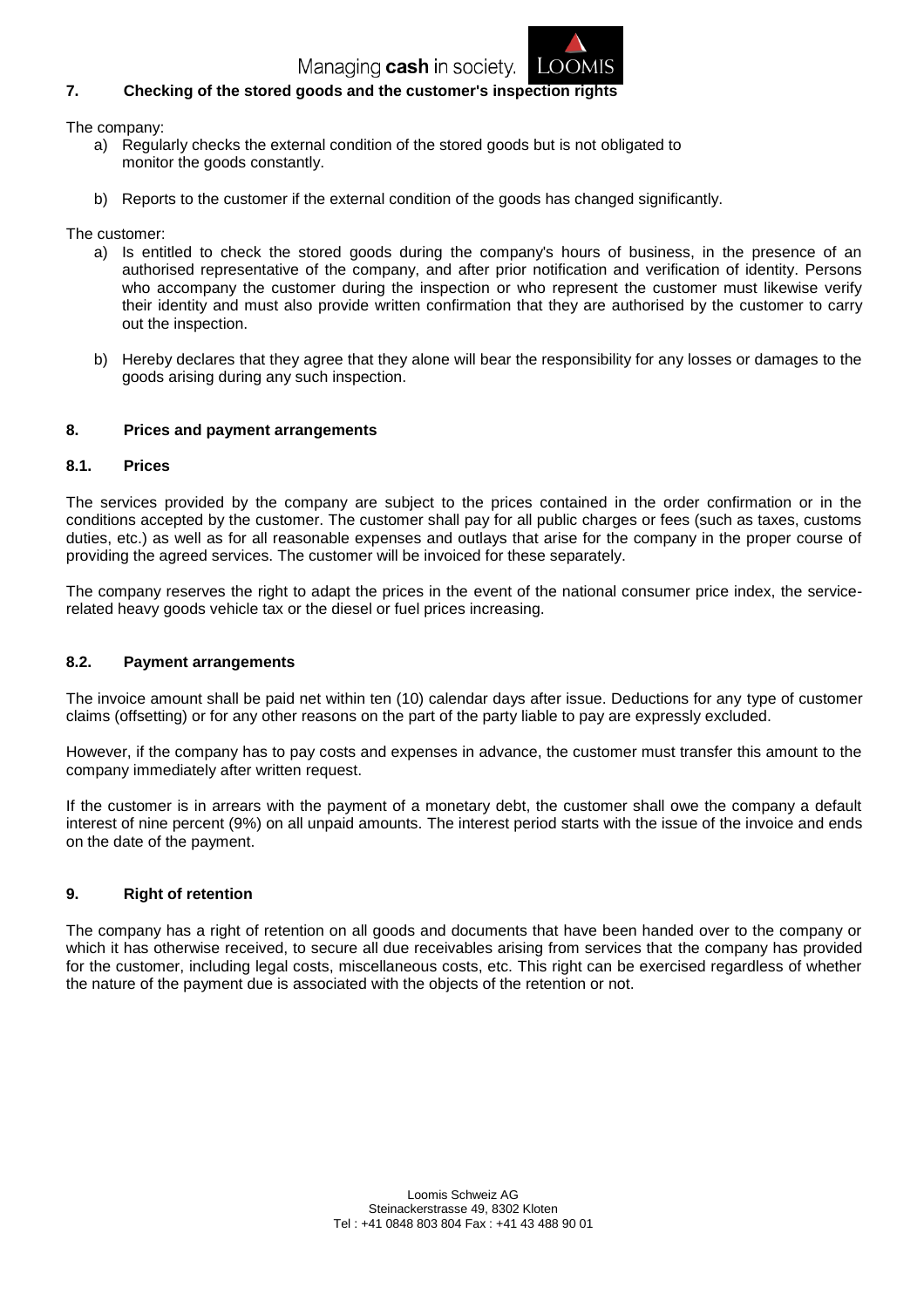

# **7. Checking of the stored goods and the customer's inspection rights**

The company:

- a) Regularly checks the external condition of the stored goods but is not obligated to monitor the goods constantly.
- b) Reports to the customer if the external condition of the goods has changed significantly.

The customer:

- a) Is entitled to check the stored goods during the company's hours of business, in the presence of an authorised representative of the company, and after prior notification and verification of identity. Persons who accompany the customer during the inspection or who represent the customer must likewise verify their identity and must also provide written confirmation that they are authorised by the customer to carry out the inspection.
- b) Hereby declares that they agree that they alone will bear the responsibility for any losses or damages to the goods arising during any such inspection.

#### **8. Prices and payment arrangements**

#### **8.1. Prices**

The services provided by the company are subject to the prices contained in the order confirmation or in the conditions accepted by the customer. The customer shall pay for all public charges or fees (such as taxes, customs duties, etc.) as well as for all reasonable expenses and outlays that arise for the company in the proper course of providing the agreed services. The customer will be invoiced for these separately.

The company reserves the right to adapt the prices in the event of the national consumer price index, the servicerelated heavy goods vehicle tax or the diesel or fuel prices increasing.

#### **8.2. Payment arrangements**

The invoice amount shall be paid net within ten (10) calendar days after issue. Deductions for any type of customer claims (offsetting) or for any other reasons on the part of the party liable to pay are expressly excluded.

However, if the company has to pay costs and expenses in advance, the customer must transfer this amount to the company immediately after written request.

If the customer is in arrears with the payment of a monetary debt, the customer shall owe the company a default interest of nine percent (9%) on all unpaid amounts. The interest period starts with the issue of the invoice and ends on the date of the payment.

# **9. Right of retention**

The company has a right of retention on all goods and documents that have been handed over to the company or which it has otherwise received, to secure all due receivables arising from services that the company has provided for the customer, including legal costs, miscellaneous costs, etc. This right can be exercised regardless of whether the nature of the payment due is associated with the objects of the retention or not.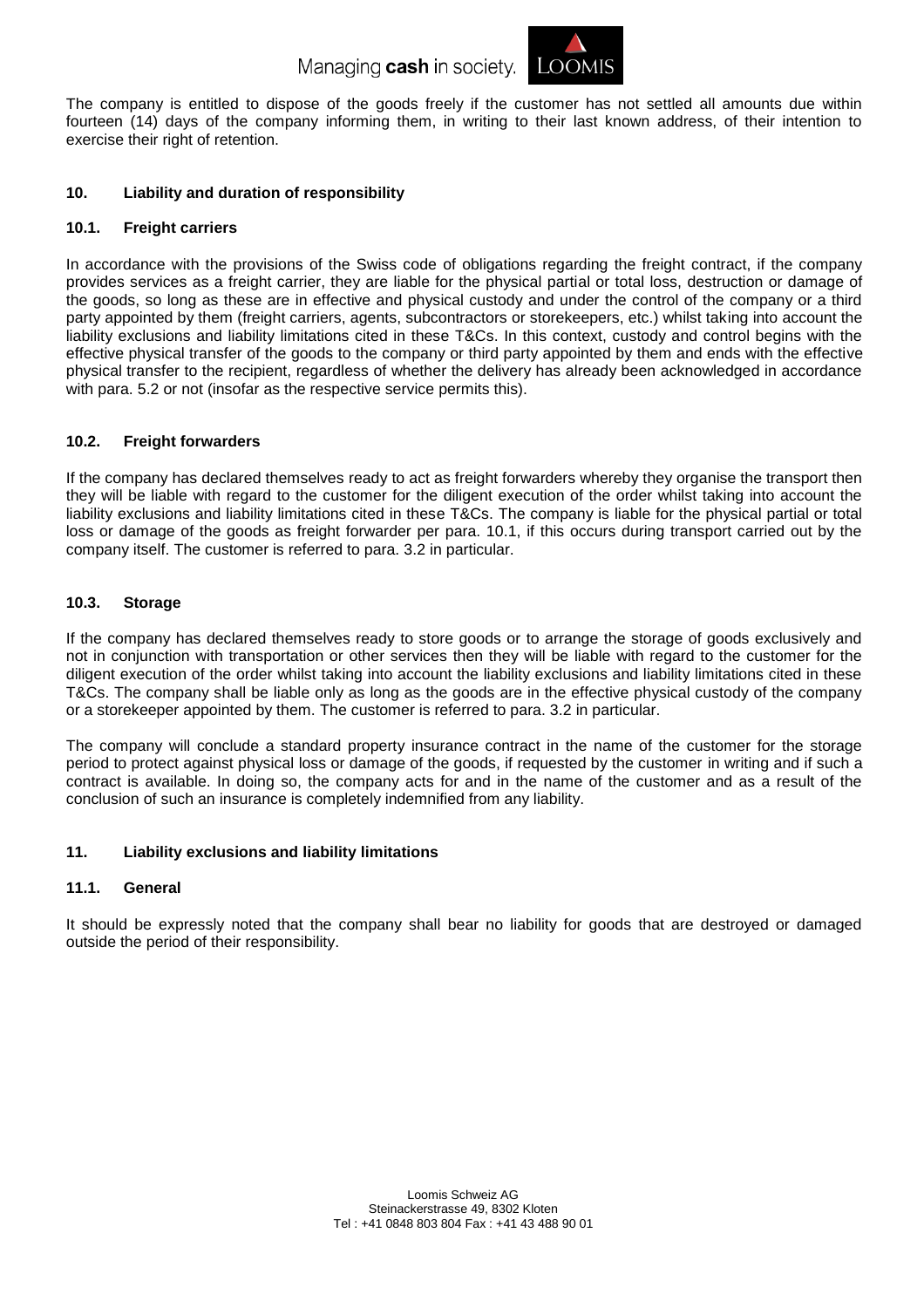Managing cash in society. LOOMIS



The company is entitled to dispose of the goods freely if the customer has not settled all amounts due within fourteen (14) days of the company informing them, in writing to their last known address, of their intention to exercise their right of retention.

# **10. Liability and duration of responsibility**

# **10.1. Freight carriers**

In accordance with the provisions of the Swiss code of obligations regarding the freight contract, if the company provides services as a freight carrier, they are liable for the physical partial or total loss, destruction or damage of the goods, so long as these are in effective and physical custody and under the control of the company or a third party appointed by them (freight carriers, agents, subcontractors or storekeepers, etc.) whilst taking into account the liability exclusions and liability limitations cited in these T&Cs. In this context, custody and control begins with the effective physical transfer of the goods to the company or third party appointed by them and ends with the effective physical transfer to the recipient, regardless of whether the delivery has already been acknowledged in accordance with para. 5.2 or not (insofar as the respective service permits this).

# **10.2. Freight forwarders**

If the company has declared themselves ready to act as freight forwarders whereby they organise the transport then they will be liable with regard to the customer for the diligent execution of the order whilst taking into account the liability exclusions and liability limitations cited in these T&Cs. The company is liable for the physical partial or total loss or damage of the goods as freight forwarder per para. 10.1, if this occurs during transport carried out by the company itself. The customer is referred to para. 3.2 in particular.

# **10.3. Storage**

If the company has declared themselves ready to store goods or to arrange the storage of goods exclusively and not in conjunction with transportation or other services then they will be liable with regard to the customer for the diligent execution of the order whilst taking into account the liability exclusions and liability limitations cited in these T&Cs. The company shall be liable only as long as the goods are in the effective physical custody of the company or a storekeeper appointed by them. The customer is referred to para. 3.2 in particular.

The company will conclude a standard property insurance contract in the name of the customer for the storage period to protect against physical loss or damage of the goods, if requested by the customer in writing and if such a contract is available. In doing so, the company acts for and in the name of the customer and as a result of the conclusion of such an insurance is completely indemnified from any liability.

# **11. Liability exclusions and liability limitations**

# **11.1. General**

It should be expressly noted that the company shall bear no liability for goods that are destroyed or damaged outside the period of their responsibility.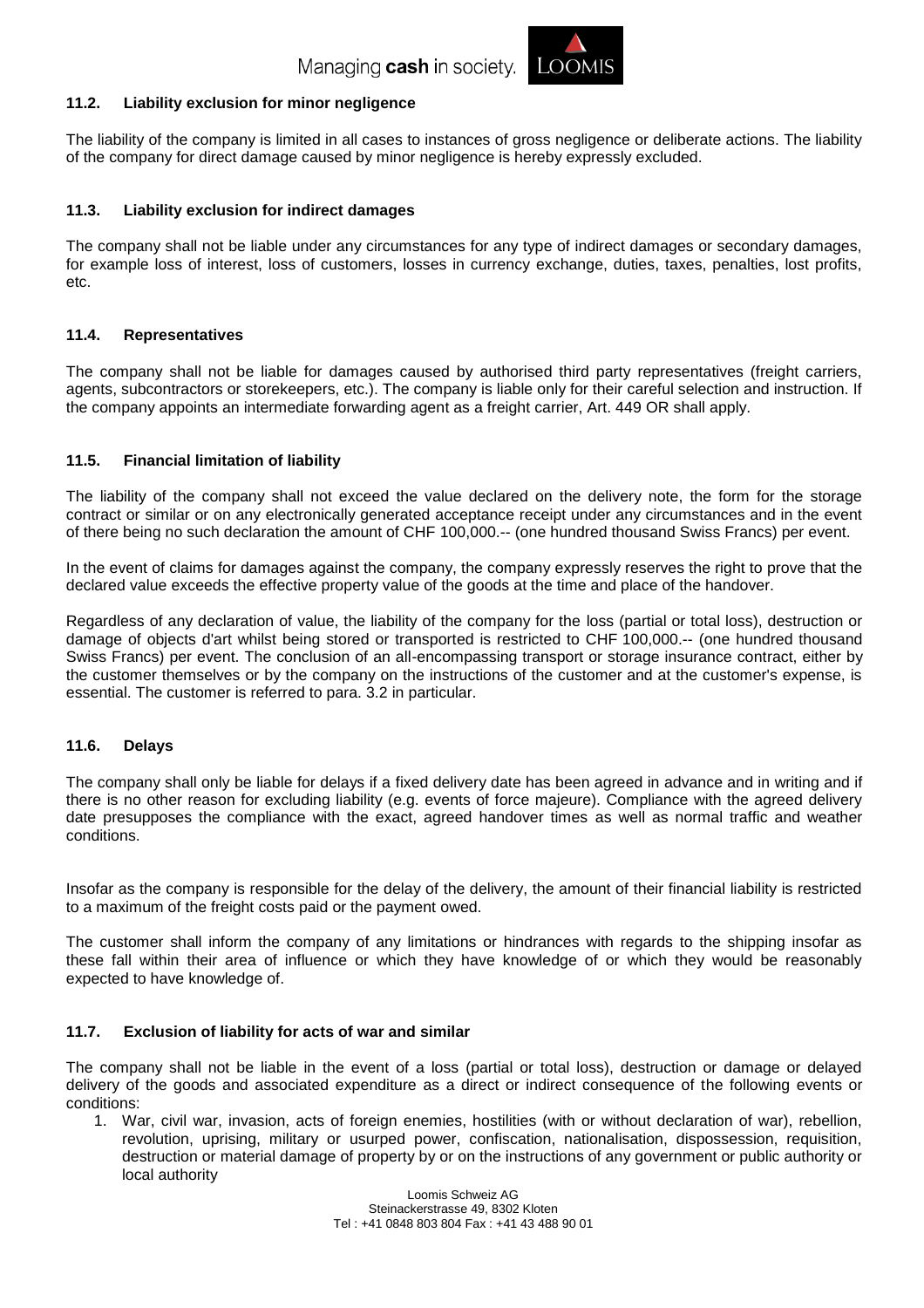

# **11.2. Liability exclusion for minor negligence**

The liability of the company is limited in all cases to instances of gross negligence or deliberate actions. The liability of the company for direct damage caused by minor negligence is hereby expressly excluded.

#### **11.3. Liability exclusion for indirect damages**

The company shall not be liable under any circumstances for any type of indirect damages or secondary damages, for example loss of interest, loss of customers, losses in currency exchange, duties, taxes, penalties, lost profits, etc.

# **11.4. Representatives**

The company shall not be liable for damages caused by authorised third party representatives (freight carriers, agents, subcontractors or storekeepers, etc.). The company is liable only for their careful selection and instruction. If the company appoints an intermediate forwarding agent as a freight carrier, Art. 449 OR shall apply.

# **11.5. Financial limitation of liability**

The liability of the company shall not exceed the value declared on the delivery note, the form for the storage contract or similar or on any electronically generated acceptance receipt under any circumstances and in the event of there being no such declaration the amount of CHF 100,000.-- (one hundred thousand Swiss Francs) per event.

In the event of claims for damages against the company, the company expressly reserves the right to prove that the declared value exceeds the effective property value of the goods at the time and place of the handover.

Regardless of any declaration of value, the liability of the company for the loss (partial or total loss), destruction or damage of objects d'art whilst being stored or transported is restricted to CHF 100,000.-- (one hundred thousand Swiss Francs) per event. The conclusion of an all-encompassing transport or storage insurance contract, either by the customer themselves or by the company on the instructions of the customer and at the customer's expense, is essential. The customer is referred to para. 3.2 in particular.

#### **11.6. Delays**

The company shall only be liable for delays if a fixed delivery date has been agreed in advance and in writing and if there is no other reason for excluding liability (e.g. events of force majeure). Compliance with the agreed delivery date presupposes the compliance with the exact, agreed handover times as well as normal traffic and weather conditions.

Insofar as the company is responsible for the delay of the delivery, the amount of their financial liability is restricted to a maximum of the freight costs paid or the payment owed.

The customer shall inform the company of any limitations or hindrances with regards to the shipping insofar as these fall within their area of influence or which they have knowledge of or which they would be reasonably expected to have knowledge of.

# **11.7. Exclusion of liability for acts of war and similar**

The company shall not be liable in the event of a loss (partial or total loss), destruction or damage or delayed delivery of the goods and associated expenditure as a direct or indirect consequence of the following events or conditions:

1. War, civil war, invasion, acts of foreign enemies, hostilities (with or without declaration of war), rebellion, revolution, uprising, military or usurped power, confiscation, nationalisation, dispossession, requisition, destruction or material damage of property by or on the instructions of any government or public authority or local authority

> Loomis Schweiz AG Steinackerstrasse 49, 8302 Kloten Tel : +41 0848 803 804 Fax : +41 43 488 90 01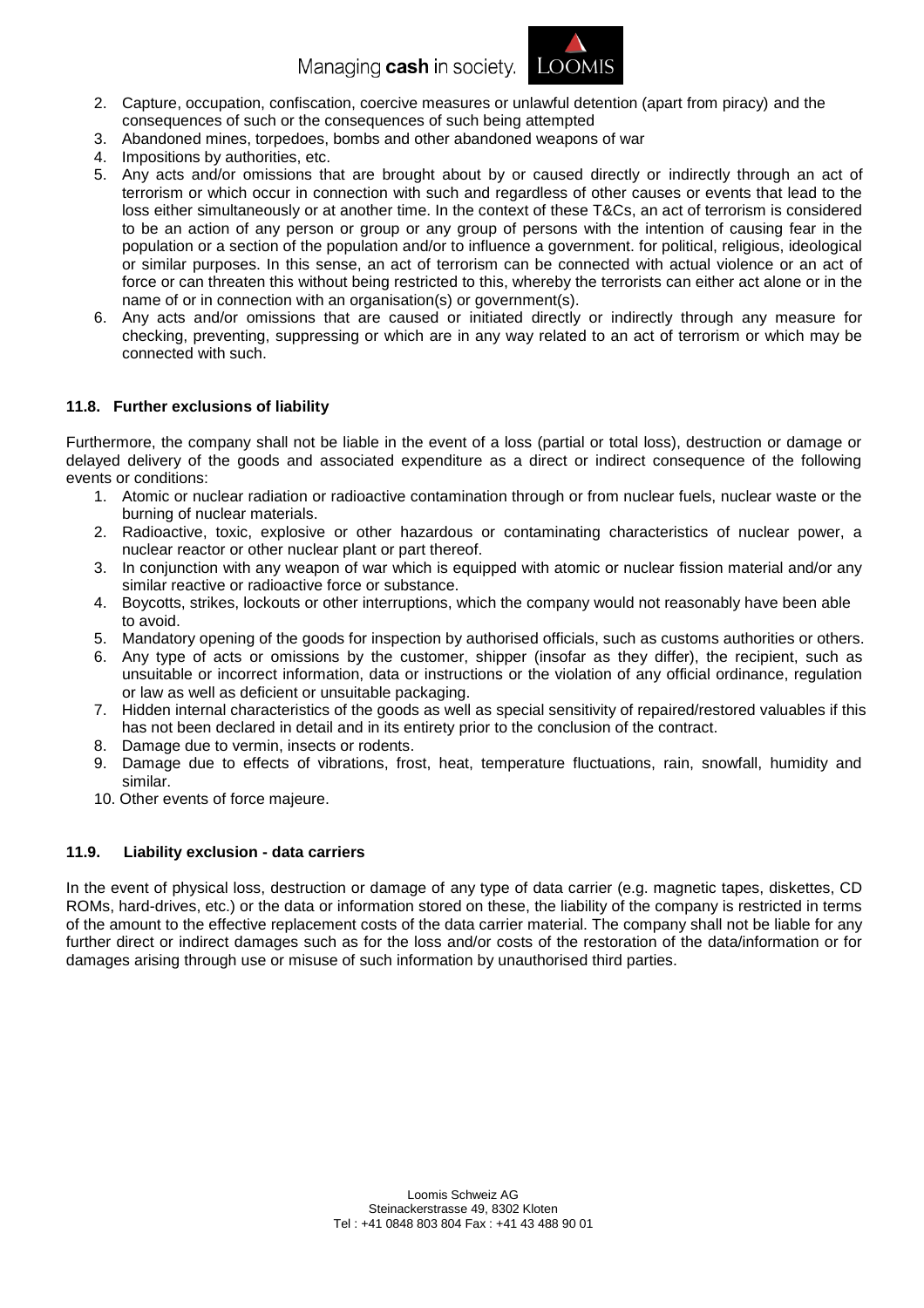Managing cash in society LOOMIS



- 2. Capture, occupation, confiscation, coercive measures or unlawful detention (apart from piracy) and the consequences of such or the consequences of such being attempted
- 3. Abandoned mines, torpedoes, bombs and other abandoned weapons of war
- 4. Impositions by authorities, etc.
- 5. Any acts and/or omissions that are brought about by or caused directly or indirectly through an act of terrorism or which occur in connection with such and regardless of other causes or events that lead to the loss either simultaneously or at another time. In the context of these T&Cs, an act of terrorism is considered to be an action of any person or group or any group of persons with the intention of causing fear in the population or a section of the population and/or to influence a government. for political, religious, ideological or similar purposes. In this sense, an act of terrorism can be connected with actual violence or an act of force or can threaten this without being restricted to this, whereby the terrorists can either act alone or in the name of or in connection with an organisation(s) or government(s).
- 6. Any acts and/or omissions that are caused or initiated directly or indirectly through any measure for checking, preventing, suppressing or which are in any way related to an act of terrorism or which may be connected with such.

# **11.8. Further exclusions of liability**

Furthermore, the company shall not be liable in the event of a loss (partial or total loss), destruction or damage or delayed delivery of the goods and associated expenditure as a direct or indirect consequence of the following events or conditions:

- 1. Atomic or nuclear radiation or radioactive contamination through or from nuclear fuels, nuclear waste or the burning of nuclear materials.
- 2. Radioactive, toxic, explosive or other hazardous or contaminating characteristics of nuclear power, a nuclear reactor or other nuclear plant or part thereof.
- 3. In conjunction with any weapon of war which is equipped with atomic or nuclear fission material and/or any similar reactive or radioactive force or substance.
- 4. Boycotts, strikes, lockouts or other interruptions, which the company would not reasonably have been able to avoid.
- 5. Mandatory opening of the goods for inspection by authorised officials, such as customs authorities or others.
- 6. Any type of acts or omissions by the customer, shipper (insofar as they differ), the recipient, such as unsuitable or incorrect information, data or instructions or the violation of any official ordinance, regulation or law as well as deficient or unsuitable packaging.
- 7. Hidden internal characteristics of the goods as well as special sensitivity of repaired/restored valuables if this has not been declared in detail and in its entirety prior to the conclusion of the contract.
- 8. Damage due to vermin, insects or rodents.
- 9. Damage due to effects of vibrations, frost, heat, temperature fluctuations, rain, snowfall, humidity and similar.
- 10. Other events of force majeure.

# **11.9. Liability exclusion - data carriers**

In the event of physical loss, destruction or damage of any type of data carrier (e.g. magnetic tapes, diskettes, CD ROMs, hard-drives, etc.) or the data or information stored on these, the liability of the company is restricted in terms of the amount to the effective replacement costs of the data carrier material. The company shall not be liable for any further direct or indirect damages such as for the loss and/or costs of the restoration of the data/information or for damages arising through use or misuse of such information by unauthorised third parties.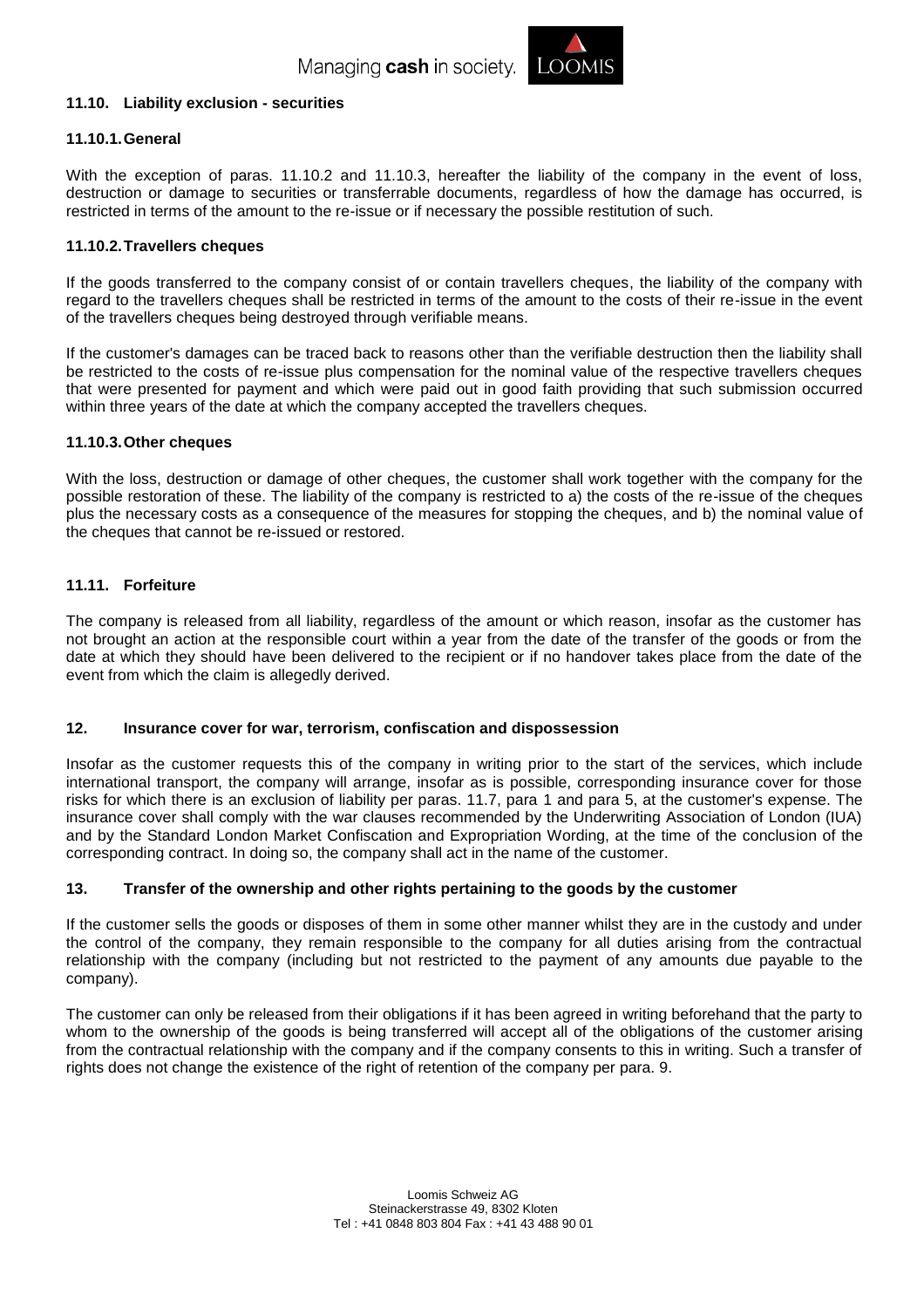

#### **11.10. Liability exclusion - securities**

#### **11.10.1.General**

With the exception of paras. 11.10.2 and 11.10.3, hereafter the liability of the company in the event of loss, destruction or damage to securities or transferrable documents, regardless of how the damage has occurred, is restricted in terms of the amount to the re-issue or if necessary the possible restitution of such.

#### **11.10.2.Travellers cheques**

If the goods transferred to the company consist of or contain travellers cheques, the liability of the company with regard to the travellers cheques shall be restricted in terms of the amount to the costs of their re-issue in the event of the travellers cheques being destroyed through verifiable means.

If the customer's damages can be traced back to reasons other than the verifiable destruction then the liability shall be restricted to the costs of re-issue plus compensation for the nominal value of the respective travellers cheques that were presented for payment and which were paid out in good faith providing that such submission occurred within three years of the date at which the company accepted the travellers cheques.

#### **11.10.3.Other cheques**

With the loss, destruction or damage of other cheques, the customer shall work together with the company for the possible restoration of these. The liability of the company is restricted to a) the costs of the re-issue of the cheques plus the necessary costs as a consequence of the measures for stopping the cheques, and b) the nominal value of the cheques that cannot be re-issued or restored.

# **11.11. Forfeiture**

The company is released from all liability, regardless of the amount or which reason, insofar as the customer has not brought an action at the responsible court within a year from the date of the transfer of the goods or from the date at which they should have been delivered to the recipient or if no handover takes place from the date of the event from which the claim is allegedly derived.

#### **12. Insurance cover for war, terrorism, confiscation and dispossession**

Insofar as the customer requests this of the company in writing prior to the start of the services, which include international transport, the company will arrange, insofar as is possible, corresponding insurance cover for those risks for which there is an exclusion of liability per paras. 11.7, para 1 and para 5, at the customer's expense. The insurance cover shall comply with the war clauses recommended by the Underwriting Association of London (IUA) and by the Standard London Market Confiscation and Expropriation Wording, at the time of the conclusion of the corresponding contract. In doing so, the company shall act in the name of the customer.

# **13. Transfer of the ownership and other rights pertaining to the goods by the customer**

If the customer sells the goods or disposes of them in some other manner whilst they are in the custody and under the control of the company, they remain responsible to the company for all duties arising from the contractual relationship with the company (including but not restricted to the payment of any amounts due payable to the company).

The customer can only be released from their obligations if it has been agreed in writing beforehand that the party to whom to the ownership of the goods is being transferred will accept all of the obligations of the customer arising from the contractual relationship with the company and if the company consents to this in writing. Such a transfer of rights does not change the existence of the right of retention of the company per para. 9.